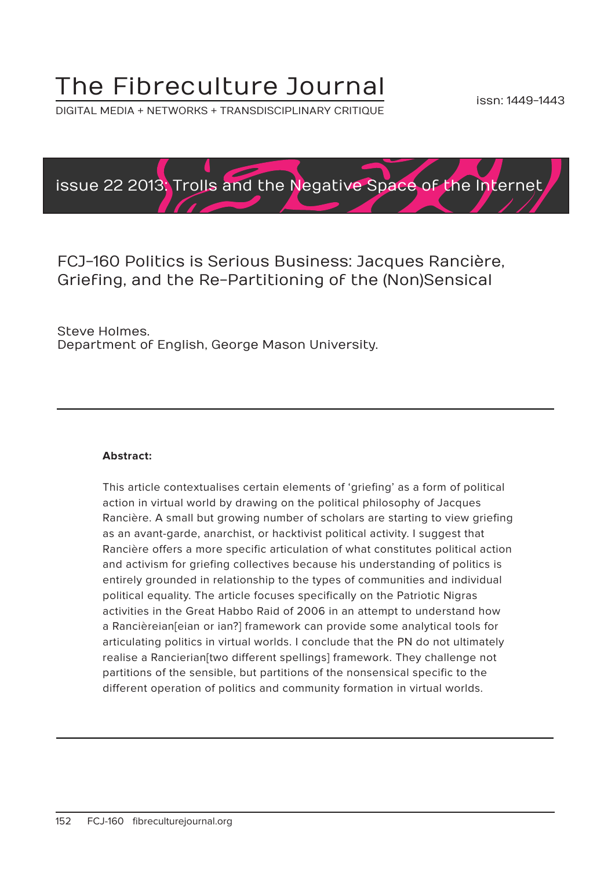# The Fibreculture Journal

DIGITAL MEDIA + NETWORKS + TRANSDISCIPLINARY CRITIQUE



FCJ-160 Politics is Serious Business: Jacques Rancière, Griefing, and the Re-Partitioning of the (Non)Sensical

Steve Holmes. Department of English, George Mason University.

#### **Abstract:**

This article contextualises certain elements of 'griefing' as a form of political action in virtual world by drawing on the political philosophy of Jacques Rancière. A small but growing number of scholars are starting to view griefing as an avant-garde, anarchist, or hacktivist political activity. I suggest that Rancière offers a more specific articulation of what constitutes political action and activism for griefing collectives because his understanding of politics is entirely grounded in relationship to the types of communities and individual political equality. The article focuses specifically on the Patriotic Nigras activities in the Great Habbo Raid of 2006 in an attempt to understand how a Rancièreian[eian or ian?] framework can provide some analytical tools for articulating politics in virtual worlds. I conclude that the PN do not ultimately realise a Rancierian[two different spellings] framework. They challenge not partitions of the sensible, but partitions of the nonsensical specific to the different operation of politics and community formation in virtual worlds.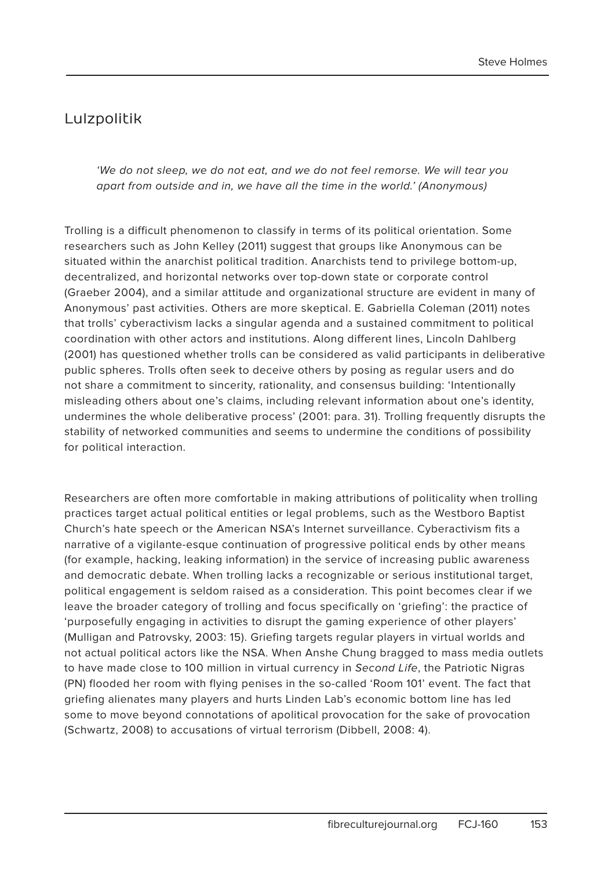# Lulzpolitik

'We do not sleep, we do not eat, and we do not feel remorse. We will tear you apart from outside and in, we have all the time in the world.' (Anonymous)

Trolling is a difficult phenomenon to classify in terms of its political orientation. Some researchers such as John Kelley (2011) suggest that groups like Anonymous can be situated within the anarchist political tradition. Anarchists tend to privilege bottom-up, decentralized, and horizontal networks over top-down state or corporate control (Graeber 2004), and a similar attitude and organizational structure are evident in many of Anonymous' past activities. Others are more skeptical. E. Gabriella Coleman (2011) notes that trolls' cyberactivism lacks a singular agenda and a sustained commitment to political coordination with other actors and institutions. Along different lines, Lincoln Dahlberg (2001) has questioned whether trolls can be considered as valid participants in deliberative public spheres. Trolls often seek to deceive others by posing as regular users and do not share a commitment to sincerity, rationality, and consensus building: 'Intentionally misleading others about one's claims, including relevant information about one's identity, undermines the whole deliberative process' (2001: para. 31). Trolling frequently disrupts the stability of networked communities and seems to undermine the conditions of possibility for political interaction.

Researchers are often more comfortable in making attributions of politicality when trolling practices target actual political entities or legal problems, such as the Westboro Baptist Church's hate speech or the American NSA's Internet surveillance. Cyberactivism fits a narrative of a vigilante-esque continuation of progressive political ends by other means (for example, hacking, leaking information) in the service of increasing public awareness and democratic debate. When trolling lacks a recognizable or serious institutional target, political engagement is seldom raised as a consideration. This point becomes clear if we leave the broader category of trolling and focus specifically on 'griefing': the practice of 'purposefully engaging in activities to disrupt the gaming experience of other players' (Mulligan and Patrovsky, 2003: 15). Griefing targets regular players in virtual worlds and not actual political actors like the NSA. When Anshe Chung bragged to mass media outlets to have made close to 100 million in virtual currency in Second Life, the Patriotic Nigras (PN) flooded her room with flying penises in the so-called 'Room 101' event. The fact that griefing alienates many players and hurts Linden Lab's economic bottom line has led some to move beyond connotations of apolitical provocation for the sake of provocation (Schwartz, 2008) to accusations of virtual terrorism (Dibbell, 2008: 4).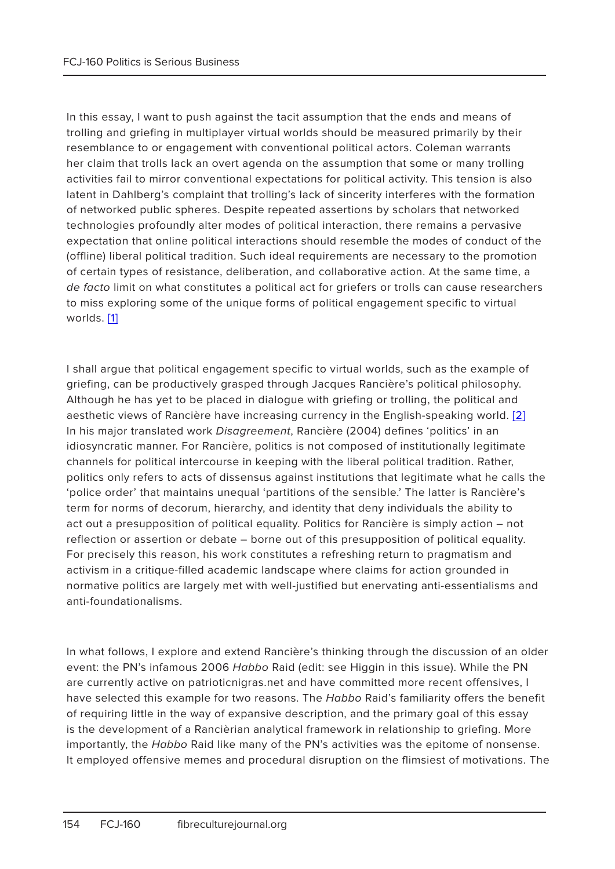In this essay, I want to push against the tacit assumption that the ends and means of trolling and griefing in multiplayer virtual worlds should be measured primarily by their resemblance to or engagement with conventional political actors. Coleman warrants her claim that trolls lack an overt agenda on the assumption that some or many trolling activities fail to mirror conventional expectations for political activity. This tension is also latent in Dahlberg's complaint that trolling's lack of sincerity interferes with the formation of networked public spheres. Despite repeated assertions by scholars that networked technologies profoundly alter modes of political interaction, there remains a pervasive expectation that online political interactions should resemble the modes of conduct of the (offline) liberal political tradition. Such ideal requirements are necessary to the promotion of certain types of resistance, deliberation, and collaborative action. At the same time, a de facto limit on what constitutes a political act for griefers or trolls can cause researchers to miss exploring some of the unique forms of political engagement specific to virtual worlds. [1]

I shall argue that political engagement specific to virtual worlds, such as the example of griefing, can be productively grasped through Jacques Rancière's political philosophy. Although he has yet to be placed in dialogue with griefing or trolling, the political and aesthetic views of Rancière have increasing currency in the English-speaking world. [2] In his major translated work Disagreement, Rancière (2004) defines 'politics' in an idiosyncratic manner. For Rancière, politics is not composed of institutionally legitimate channels for political intercourse in keeping with the liberal political tradition. Rather, politics only refers to acts of dissensus against institutions that legitimate what he calls the 'police order' that maintains unequal 'partitions of the sensible.' The latter is Rancière's term for norms of decorum, hierarchy, and identity that deny individuals the ability to act out a presupposition of political equality. Politics for Rancière is simply action – not reflection or assertion or debate – borne out of this presupposition of political equality. For precisely this reason, his work constitutes a refreshing return to pragmatism and activism in a critique-filled academic landscape where claims for action grounded in normative politics are largely met with well-justified but enervating anti-essentialisms and anti-foundationalisms.

In what follows, I explore and extend Rancière's thinking through the discussion of an older event: the PN's infamous 2006 Habbo Raid (edit: see Higgin in this issue). While the PN are currently active on patrioticnigras.net and have committed more recent offensives, I have selected this example for two reasons. The Habbo Raid's familiarity offers the benefit of requiring little in the way of expansive description, and the primary goal of this essay is the development of a Rancièrian analytical framework in relationship to griefing. More importantly, the Habbo Raid like many of the PN's activities was the epitome of nonsense. It employed offensive memes and procedural disruption on the flimsiest of motivations. The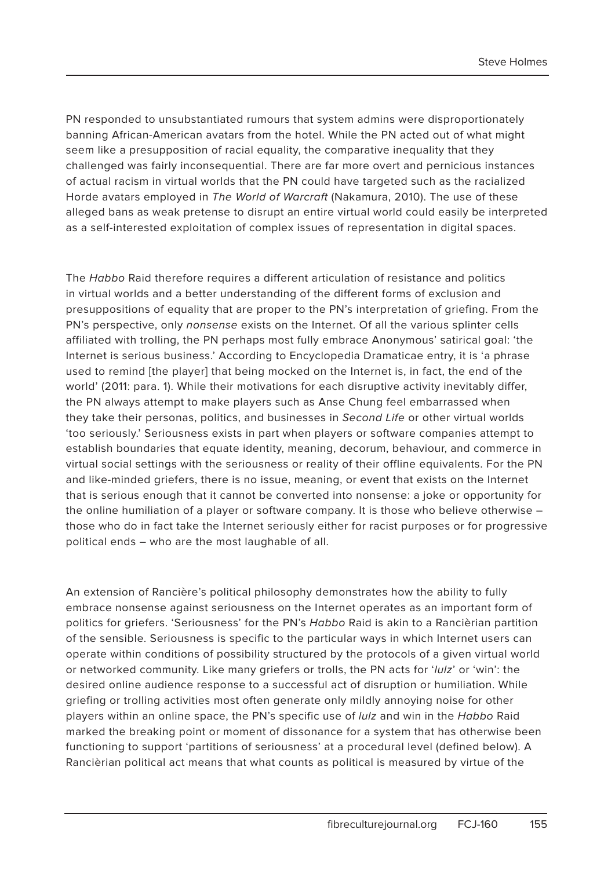PN responded to unsubstantiated rumours that system admins were disproportionately banning African-American avatars from the hotel. While the PN acted out of what might seem like a presupposition of racial equality, the comparative inequality that they challenged was fairly inconsequential. There are far more overt and pernicious instances of actual racism in virtual worlds that the PN could have targeted such as the racialized Horde avatars employed in The World of Warcraft (Nakamura, 2010). The use of these alleged bans as weak pretense to disrupt an entire virtual world could easily be interpreted as a self-interested exploitation of complex issues of representation in digital spaces.

The Habbo Raid therefore requires a different articulation of resistance and politics in virtual worlds and a better understanding of the different forms of exclusion and presuppositions of equality that are proper to the PN's interpretation of griefing. From the PN's perspective, only nonsense exists on the Internet. Of all the various splinter cells affiliated with trolling, the PN perhaps most fully embrace Anonymous' satirical goal: 'the Internet is serious business.' According to Encyclopedia Dramaticae entry, it is 'a phrase used to remind [the player] that being mocked on the Internet is, in fact, the end of the world' (2011: para. 1). While their motivations for each disruptive activity inevitably differ, the PN always attempt to make players such as Anse Chung feel embarrassed when they take their personas, politics, and businesses in Second Life or other virtual worlds 'too seriously.' Seriousness exists in part when players or software companies attempt to establish boundaries that equate identity, meaning, decorum, behaviour, and commerce in virtual social settings with the seriousness or reality of their offline equivalents. For the PN and like-minded griefers, there is no issue, meaning, or event that exists on the Internet that is serious enough that it cannot be converted into nonsense: a joke or opportunity for the online humiliation of a player or software company. It is those who believe otherwise – those who do in fact take the Internet seriously either for racist purposes or for progressive political ends – who are the most laughable of all.

An extension of Rancière's political philosophy demonstrates how the ability to fully embrace nonsense against seriousness on the Internet operates as an important form of politics for griefers. 'Seriousness' for the PN's Habbo Raid is akin to a Rancièrian partition of the sensible. Seriousness is specific to the particular ways in which Internet users can operate within conditions of possibility structured by the protocols of a given virtual world or networked community. Like many griefers or trolls, the PN acts for 'lulz' or 'win': the desired online audience response to a successful act of disruption or humiliation. While griefing or trolling activities most often generate only mildly annoying noise for other players within an online space, the PN's specific use of *lulz* and win in the Habbo Raid marked the breaking point or moment of dissonance for a system that has otherwise been functioning to support 'partitions of seriousness' at a procedural level (defined below). A Rancièrian political act means that what counts as political is measured by virtue of the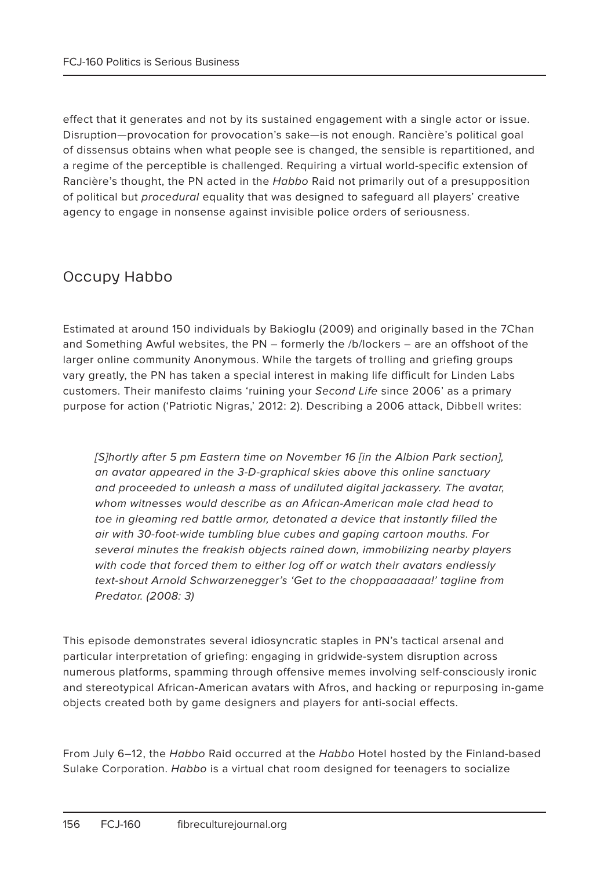effect that it generates and not by its sustained engagement with a single actor or issue. Disruption—provocation for provocation's sake—is not enough. Rancière's political goal of dissensus obtains when what people see is changed, the sensible is repartitioned, and a regime of the perceptible is challenged. Requiring a virtual world-specific extension of Rancière's thought, the PN acted in the Habbo Raid not primarily out of a presupposition of political but procedural equality that was designed to safeguard all players' creative agency to engage in nonsense against invisible police orders of seriousness.

# Occupy Habbo

Estimated at around 150 individuals by Bakioglu (2009) and originally based in the 7Chan and Something Awful websites, the PN – formerly the /b/lockers – are an offshoot of the larger online community Anonymous. While the targets of trolling and griefing groups vary greatly, the PN has taken a special interest in making life difficult for Linden Labs customers. Their manifesto claims 'ruining your Second Life since 2006' as a primary purpose for action ('Patriotic Nigras,' 2012: 2). Describing a 2006 attack, Dibbell writes:

[S]hortly after 5 pm Eastern time on November 16 [in the Albion Park section], an avatar appeared in the 3-D-graphical skies above this online sanctuary and proceeded to unleash a mass of undiluted digital jackassery. The avatar, whom witnesses would describe as an African-American male clad head to toe in gleaming red battle armor, detonated a device that instantly filled the air with 30-foot-wide tumbling blue cubes and gaping cartoon mouths. For several minutes the freakish objects rained down, immobilizing nearby players with code that forced them to either log off or watch their avatars endlessly text-shout Arnold Schwarzenegger's 'Get to the choppaaaaaaaa!' tagline from Predator. (2008: 3)

This episode demonstrates several idiosyncratic staples in PN's tactical arsenal and particular interpretation of griefing: engaging in gridwide-system disruption across numerous platforms, spamming through offensive memes involving self-consciously ironic and stereotypical African-American avatars with Afros, and hacking or repurposing in-game objects created both by game designers and players for anti-social effects.

From July 6-12, the Habbo Raid occurred at the Habbo Hotel hosted by the Finland-based Sulake Corporation. Habbo is a virtual chat room designed for teenagers to socialize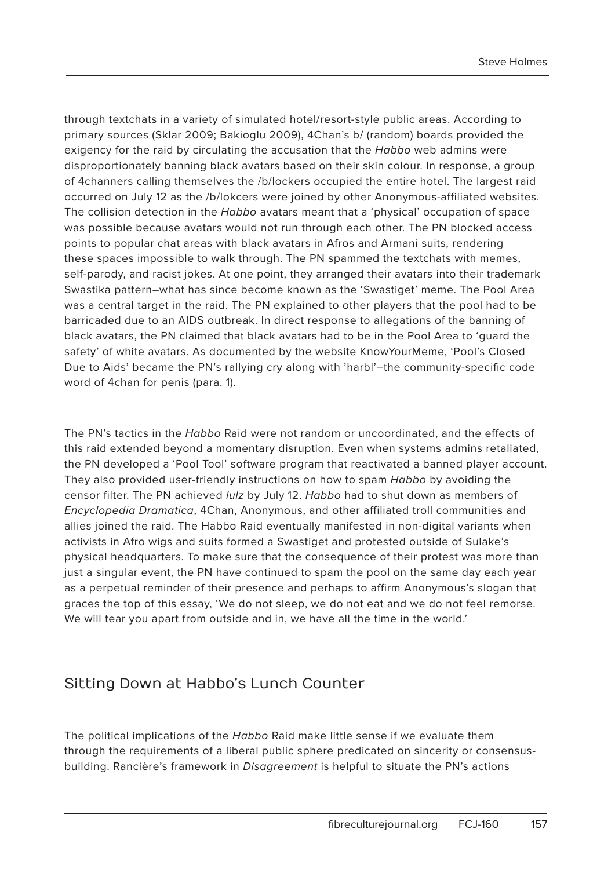through textchats in a variety of simulated hotel/resort-style public areas. According to primary sources (Sklar 2009; Bakioglu 2009), 4Chan's b/ (random) boards provided the exigency for the raid by circulating the accusation that the Habbo web admins were disproportionately banning black avatars based on their skin colour. In response, a group of 4channers calling themselves the /b/lockers occupied the entire hotel. The largest raid occurred on July 12 as the /b/lokcers were joined by other Anonymous-affiliated websites. The collision detection in the Habbo avatars meant that a 'physical' occupation of space was possible because avatars would not run through each other. The PN blocked access points to popular chat areas with black avatars in Afros and Armani suits, rendering these spaces impossible to walk through. The PN spammed the textchats with memes, self-parody, and racist jokes. At one point, they arranged their avatars into their trademark Swastika pattern–what has since become known as the 'Swastiget' meme. The Pool Area was a central target in the raid. The PN explained to other players that the pool had to be barricaded due to an AIDS outbreak. In direct response to allegations of the banning of black avatars, the PN claimed that black avatars had to be in the Pool Area to 'guard the safety' of white avatars. As documented by the website KnowYourMeme, 'Pool's Closed Due to Aids' became the PN's rallying cry along with 'harbl'–the community-specific code word of 4chan for penis (para. 1).

The PN's tactics in the Habbo Raid were not random or uncoordinated, and the effects of this raid extended beyond a momentary disruption. Even when systems admins retaliated, the PN developed a 'Pool Tool' software program that reactivated a banned player account. They also provided user-friendly instructions on how to spam Habbo by avoiding the censor filter. The PN achieved lulz by July 12. Habbo had to shut down as members of Encyclopedia Dramatica, 4Chan, Anonymous, and other affiliated troll communities and allies joined the raid. The Habbo Raid eventually manifested in non-digital variants when activists in Afro wigs and suits formed a Swastiget and protested outside of Sulake's physical headquarters. To make sure that the consequence of their protest was more than just a singular event, the PN have continued to spam the pool on the same day each year as a perpetual reminder of their presence and perhaps to affirm Anonymous's slogan that graces the top of this essay, 'We do not sleep, we do not eat and we do not feel remorse. We will tear you apart from outside and in, we have all the time in the world.'

# Sitting Down at Habbo's Lunch Counter

The political implications of the Habbo Raid make little sense if we evaluate them through the requirements of a liberal public sphere predicated on sincerity or consensusbuilding. Rancière's framework in Disagreement is helpful to situate the PN's actions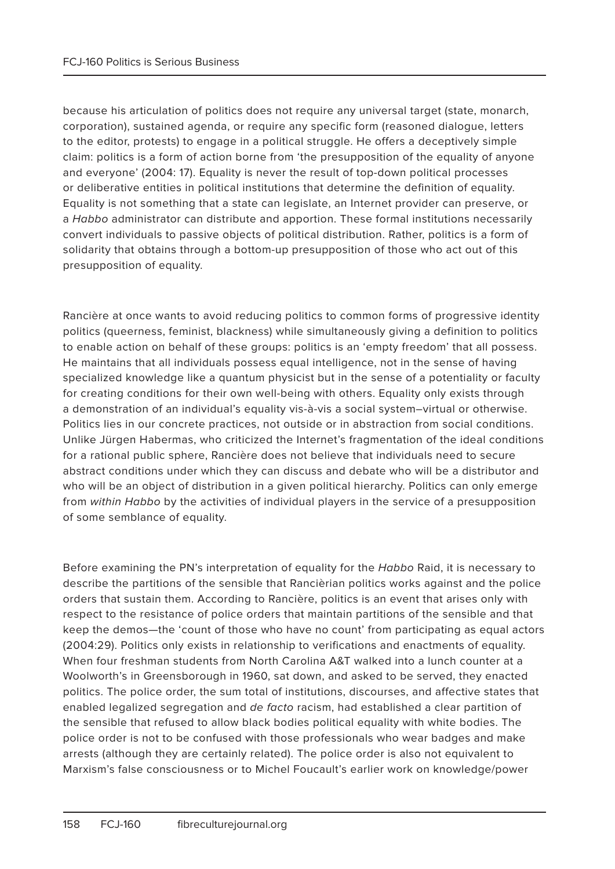because his articulation of politics does not require any universal target (state, monarch, corporation), sustained agenda, or require any specific form (reasoned dialogue, letters to the editor, protests) to engage in a political struggle. He offers a deceptively simple claim: politics is a form of action borne from 'the presupposition of the equality of anyone and everyone' (2004: 17). Equality is never the result of top-down political processes or deliberative entities in political institutions that determine the definition of equality. Equality is not something that a state can legislate, an Internet provider can preserve, or a Habbo administrator can distribute and apportion. These formal institutions necessarily convert individuals to passive objects of political distribution. Rather, politics is a form of solidarity that obtains through a bottom-up presupposition of those who act out of this presupposition of equality.

Rancière at once wants to avoid reducing politics to common forms of progressive identity politics (queerness, feminist, blackness) while simultaneously giving a definition to politics to enable action on behalf of these groups: politics is an 'empty freedom' that all possess. He maintains that all individuals possess equal intelligence, not in the sense of having specialized knowledge like a quantum physicist but in the sense of a potentiality or faculty for creating conditions for their own well-being with others. Equality only exists through a demonstration of an individual's equality vis-à-vis a social system–virtual or otherwise. Politics lies in our concrete practices, not outside or in abstraction from social conditions. Unlike Jürgen Habermas, who criticized the Internet's fragmentation of the ideal conditions for a rational public sphere, Rancière does not believe that individuals need to secure abstract conditions under which they can discuss and debate who will be a distributor and who will be an object of distribution in a given political hierarchy. Politics can only emerge from within Habbo by the activities of individual players in the service of a presupposition of some semblance of equality.

Before examining the PN's interpretation of equality for the Habbo Raid, it is necessary to describe the partitions of the sensible that Rancièrian politics works against and the police orders that sustain them. According to Rancière, politics is an event that arises only with respect to the resistance of police orders that maintain partitions of the sensible and that keep the demos—the 'count of those who have no count' from participating as equal actors (2004:29). Politics only exists in relationship to verifications and enactments of equality. When four freshman students from North Carolina A&T walked into a lunch counter at a Woolworth's in Greensborough in 1960, sat down, and asked to be served, they enacted politics. The police order, the sum total of institutions, discourses, and affective states that enabled legalized segregation and de facto racism, had established a clear partition of the sensible that refused to allow black bodies political equality with white bodies. The police order is not to be confused with those professionals who wear badges and make arrests (although they are certainly related). The police order is also not equivalent to Marxism's false consciousness or to Michel Foucault's earlier work on knowledge/power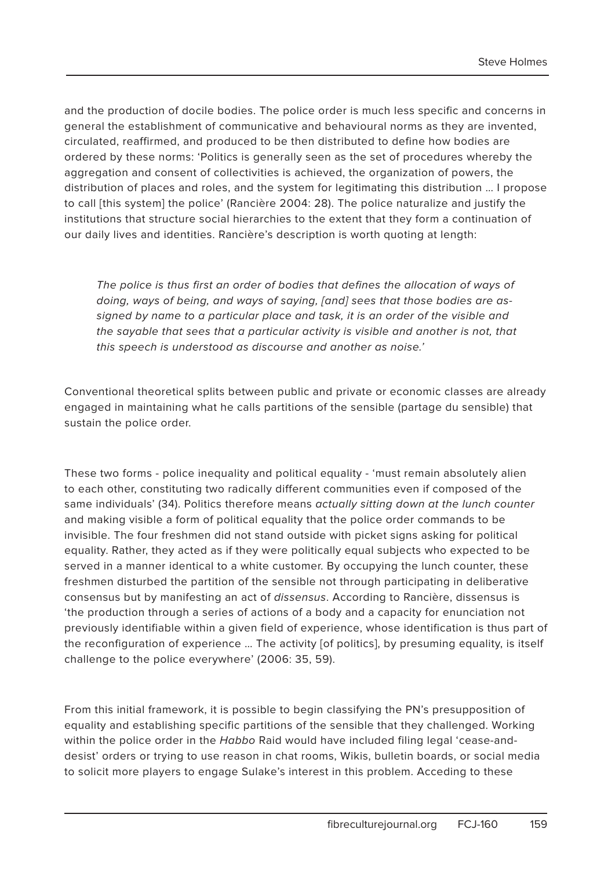and the production of docile bodies. The police order is much less specific and concerns in general the establishment of communicative and behavioural norms as they are invented, circulated, reaffirmed, and produced to be then distributed to define how bodies are ordered by these norms: 'Politics is generally seen as the set of procedures whereby the aggregation and consent of collectivities is achieved, the organization of powers, the distribution of places and roles, and the system for legitimating this distribution … I propose to call [this system] the police' (Rancière 2004: 28). The police naturalize and justify the institutions that structure social hierarchies to the extent that they form a continuation of our daily lives and identities. Rancière's description is worth quoting at length:

The police is thus first an order of bodies that defines the allocation of ways of doing, ways of being, and ways of saying, [and] sees that those bodies are assigned by name to a particular place and task, it is an order of the visible and the sayable that sees that a particular activity is visible and another is not, that this speech is understood as discourse and another as noise.'

Conventional theoretical splits between public and private or economic classes are already engaged in maintaining what he calls partitions of the sensible (partage du sensible) that sustain the police order.

These two forms - police inequality and political equality - 'must remain absolutely alien to each other, constituting two radically different communities even if composed of the same individuals' (34). Politics therefore means actually sitting down at the lunch counter and making visible a form of political equality that the police order commands to be invisible. The four freshmen did not stand outside with picket signs asking for political equality. Rather, they acted as if they were politically equal subjects who expected to be served in a manner identical to a white customer. By occupying the lunch counter, these freshmen disturbed the partition of the sensible not through participating in deliberative consensus but by manifesting an act of dissensus. According to Rancière, dissensus is 'the production through a series of actions of a body and a capacity for enunciation not previously identifiable within a given field of experience, whose identification is thus part of the reconfiguration of experience … The activity [of politics], by presuming equality, is itself challenge to the police everywhere' (2006: 35, 59).

From this initial framework, it is possible to begin classifying the PN's presupposition of equality and establishing specific partitions of the sensible that they challenged. Working within the police order in the Habbo Raid would have included filing legal 'cease-anddesist' orders or trying to use reason in chat rooms, Wikis, bulletin boards, or social media to solicit more players to engage Sulake's interest in this problem. Acceding to these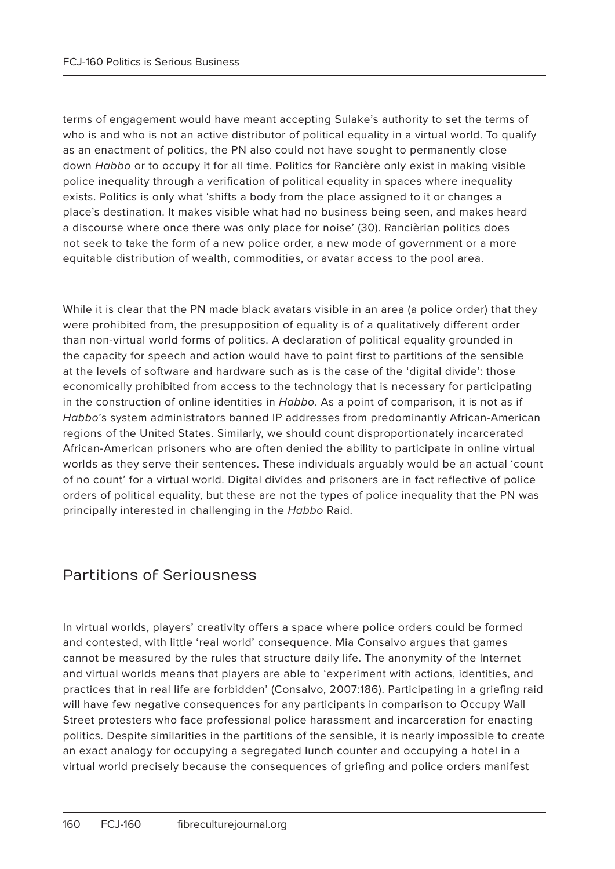terms of engagement would have meant accepting Sulake's authority to set the terms of who is and who is not an active distributor of political equality in a virtual world. To qualify as an enactment of politics, the PN also could not have sought to permanently close down Habbo or to occupy it for all time. Politics for Rancière only exist in making visible police inequality through a verification of political equality in spaces where inequality exists. Politics is only what 'shifts a body from the place assigned to it or changes a place's destination. It makes visible what had no business being seen, and makes heard a discourse where once there was only place for noise' (30). Rancièrian politics does not seek to take the form of a new police order, a new mode of government or a more equitable distribution of wealth, commodities, or avatar access to the pool area.

While it is clear that the PN made black avatars visible in an area (a police order) that they were prohibited from, the presupposition of equality is of a qualitatively different order than non-virtual world forms of politics. A declaration of political equality grounded in the capacity for speech and action would have to point first to partitions of the sensible at the levels of software and hardware such as is the case of the 'digital divide': those economically prohibited from access to the technology that is necessary for participating in the construction of online identities in Habbo. As a point of comparison, it is not as if Habbo's system administrators banned IP addresses from predominantly African-American regions of the United States. Similarly, we should count disproportionately incarcerated African-American prisoners who are often denied the ability to participate in online virtual worlds as they serve their sentences. These individuals arguably would be an actual 'count of no count' for a virtual world. Digital divides and prisoners are in fact reflective of police orders of political equality, but these are not the types of police inequality that the PN was principally interested in challenging in the Habbo Raid.

# Partitions of Seriousness

In virtual worlds, players' creativity offers a space where police orders could be formed and contested, with little 'real world' consequence. Mia Consalvo argues that games cannot be measured by the rules that structure daily life. The anonymity of the Internet and virtual worlds means that players are able to 'experiment with actions, identities, and practices that in real life are forbidden' (Consalvo, 2007:186). Participating in a griefing raid will have few negative consequences for any participants in comparison to Occupy Wall Street protesters who face professional police harassment and incarceration for enacting politics. Despite similarities in the partitions of the sensible, it is nearly impossible to create an exact analogy for occupying a segregated lunch counter and occupying a hotel in a virtual world precisely because the consequences of griefing and police orders manifest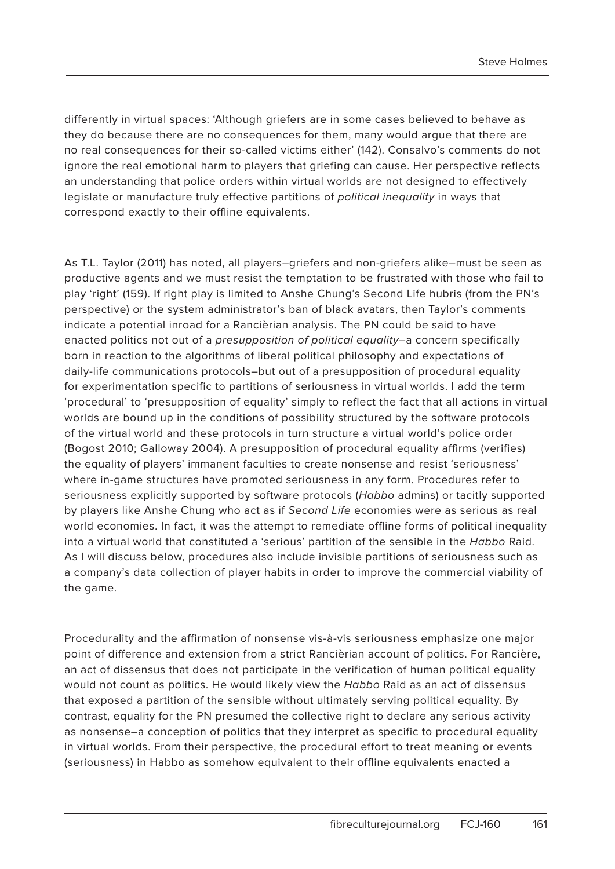differently in virtual spaces: 'Although griefers are in some cases believed to behave as they do because there are no consequences for them, many would argue that there are no real consequences for their so-called victims either' (142). Consalvo's comments do not ignore the real emotional harm to players that griefing can cause. Her perspective reflects an understanding that police orders within virtual worlds are not designed to effectively legislate or manufacture truly effective partitions of political inequality in ways that correspond exactly to their offline equivalents.

As T.L. Taylor (2011) has noted, all players–griefers and non-griefers alike–must be seen as productive agents and we must resist the temptation to be frustrated with those who fail to play 'right' (159). If right play is limited to Anshe Chung's Second Life hubris (from the PN's perspective) or the system administrator's ban of black avatars, then Taylor's comments indicate a potential inroad for a Rancièrian analysis. The PN could be said to have enacted politics not out of a presupposition of political equality–a concern specifically born in reaction to the algorithms of liberal political philosophy and expectations of daily-life communications protocols–but out of a presupposition of procedural equality for experimentation specific to partitions of seriousness in virtual worlds. I add the term 'procedural' to 'presupposition of equality' simply to reflect the fact that all actions in virtual worlds are bound up in the conditions of possibility structured by the software protocols of the virtual world and these protocols in turn structure a virtual world's police order (Bogost 2010; Galloway 2004). A presupposition of procedural equality affirms (verifies) the equality of players' immanent faculties to create nonsense and resist 'seriousness' where in-game structures have promoted seriousness in any form. Procedures refer to seriousness explicitly supported by software protocols (Habbo admins) or tacitly supported by players like Anshe Chung who act as if Second Life economies were as serious as real world economies. In fact, it was the attempt to remediate offline forms of political inequality into a virtual world that constituted a 'serious' partition of the sensible in the Habbo Raid. As I will discuss below, procedures also include invisible partitions of seriousness such as a company's data collection of player habits in order to improve the commercial viability of the game.

Procedurality and the affirmation of nonsense vis-à-vis seriousness emphasize one major point of difference and extension from a strict Rancièrian account of politics. For Rancière, an act of dissensus that does not participate in the verification of human political equality would not count as politics. He would likely view the Habbo Raid as an act of dissensus that exposed a partition of the sensible without ultimately serving political equality. By contrast, equality for the PN presumed the collective right to declare any serious activity as nonsense–a conception of politics that they interpret as specific to procedural equality in virtual worlds. From their perspective, the procedural effort to treat meaning or events (seriousness) in Habbo as somehow equivalent to their offline equivalents enacted a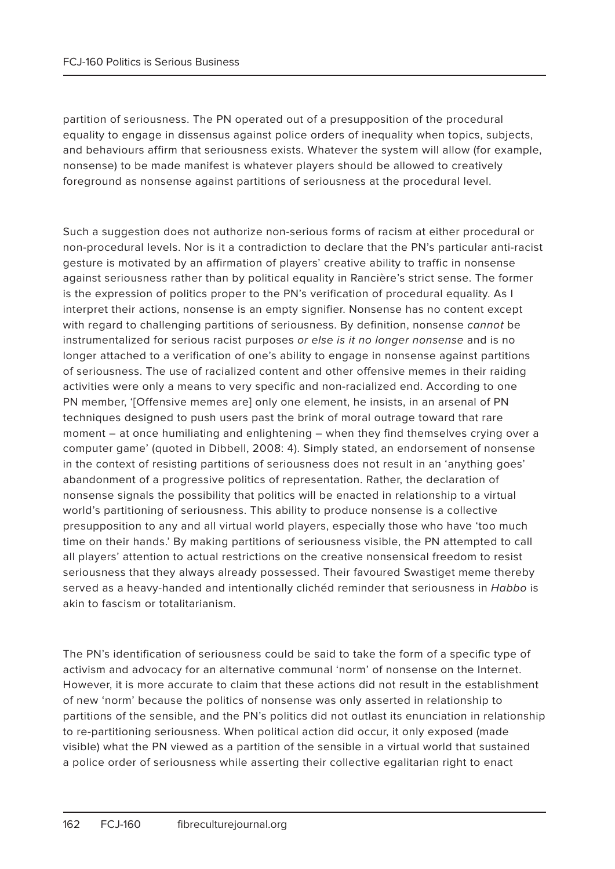partition of seriousness. The PN operated out of a presupposition of the procedural equality to engage in dissensus against police orders of inequality when topics, subjects, and behaviours affirm that seriousness exists. Whatever the system will allow (for example, nonsense) to be made manifest is whatever players should be allowed to creatively foreground as nonsense against partitions of seriousness at the procedural level.

Such a suggestion does not authorize non-serious forms of racism at either procedural or non-procedural levels. Nor is it a contradiction to declare that the PN's particular anti-racist gesture is motivated by an affirmation of players' creative ability to traffic in nonsense against seriousness rather than by political equality in Rancière's strict sense. The former is the expression of politics proper to the PN's verification of procedural equality. As I interpret their actions, nonsense is an empty signifier. Nonsense has no content except with regard to challenging partitions of seriousness. By definition, nonsense cannot be instrumentalized for serious racist purposes or else is it no longer nonsense and is no longer attached to a verification of one's ability to engage in nonsense against partitions of seriousness. The use of racialized content and other offensive memes in their raiding activities were only a means to very specific and non-racialized end. According to one PN member, '[Offensive memes are] only one element, he insists, in an arsenal of PN techniques designed to push users past the brink of moral outrage toward that rare moment – at once humiliating and enlightening – when they find themselves crying over a computer game' (quoted in Dibbell, 2008: 4). Simply stated, an endorsement of nonsense in the context of resisting partitions of seriousness does not result in an 'anything goes' abandonment of a progressive politics of representation. Rather, the declaration of nonsense signals the possibility that politics will be enacted in relationship to a virtual world's partitioning of seriousness. This ability to produce nonsense is a collective presupposition to any and all virtual world players, especially those who have 'too much time on their hands.' By making partitions of seriousness visible, the PN attempted to call all players' attention to actual restrictions on the creative nonsensical freedom to resist seriousness that they always already possessed. Their favoured Swastiget meme thereby served as a heavy-handed and intentionally clichéd reminder that seriousness in Habbo is akin to fascism or totalitarianism.

The PN's identification of seriousness could be said to take the form of a specific type of activism and advocacy for an alternative communal 'norm' of nonsense on the Internet. However, it is more accurate to claim that these actions did not result in the establishment of new 'norm' because the politics of nonsense was only asserted in relationship to partitions of the sensible, and the PN's politics did not outlast its enunciation in relationship to re-partitioning seriousness. When political action did occur, it only exposed (made visible) what the PN viewed as a partition of the sensible in a virtual world that sustained a police order of seriousness while asserting their collective egalitarian right to enact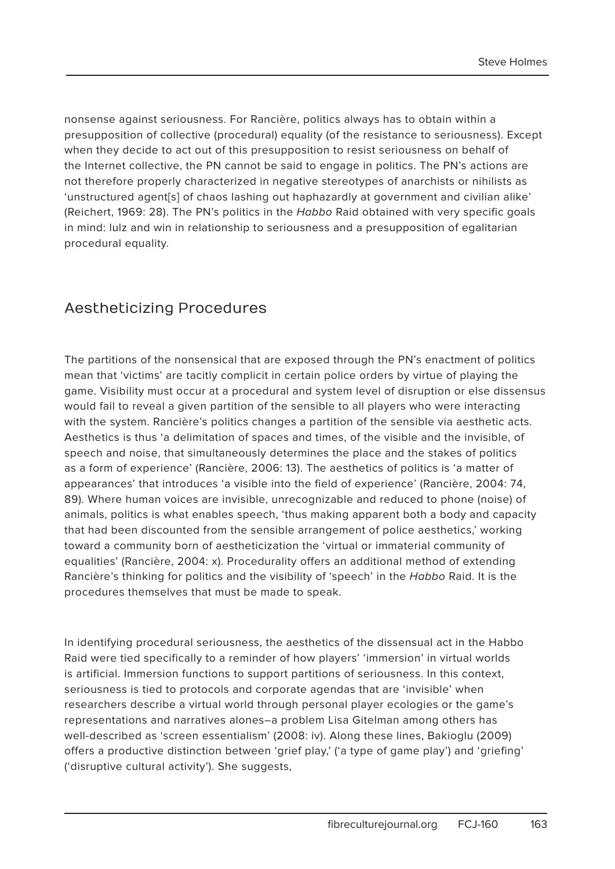nonsense against seriousness. For Rancière, politics always has to obtain within a presupposition of collective (procedural) equality (of the resistance to seriousness). Except when they decide to act out of this presupposition to resist seriousness on behalf of the Internet collective, the PN cannot be said to engage in politics. The PN's actions are not therefore properly characterized in negative stereotypes of anarchists or nihilists as 'unstructured agent[s] of chaos lashing out haphazardly at government and civilian alike' (Reichert, 1969: 28). The PN's politics in the Habbo Raid obtained with very specific goals in mind: lulz and win in relationship to seriousness and a presupposition of egalitarian procedural equality.

### Aestheticizing Procedures

The partitions of the nonsensical that are exposed through the PN's enactment of politics mean that 'victims' are tacitly complicit in certain police orders by virtue of playing the game. Visibility must occur at a procedural and system level of disruption or else dissensus would fail to reveal a given partition of the sensible to all players who were interacting with the system. Rancière's politics changes a partition of the sensible via aesthetic acts. Aesthetics is thus 'a delimitation of spaces and times, of the visible and the invisible, of speech and noise, that simultaneously determines the place and the stakes of politics as a form of experience' (Rancière, 2006: 13). The aesthetics of politics is 'a matter of appearances' that introduces 'a visible into the field of experience' (Rancière, 2004: 74, 89). Where human voices are invisible, unrecognizable and reduced to phone (noise) of animals, politics is what enables speech, 'thus making apparent both a body and capacity that had been discounted from the sensible arrangement of police aesthetics,' working toward a community born of aestheticization the 'virtual or immaterial community of equalities' (Rancière, 2004: x). Procedurality offers an additional method of extending Rancière's thinking for politics and the visibility of 'speech' in the Habbo Raid. It is the procedures themselves that must be made to speak.

In identifying procedural seriousness, the aesthetics of the dissensual act in the Habbo Raid were tied specifically to a reminder of how players' 'immersion' in virtual worlds is artificial. Immersion functions to support partitions of seriousness. In this context, seriousness is tied to protocols and corporate agendas that are 'invisible' when researchers describe a virtual world through personal player ecologies or the game's representations and narratives alones–a problem Lisa Gitelman among others has well-described as 'screen essentialism' (2008: iv). Along these lines, Bakioglu (2009) offers a productive distinction between 'grief play,' ('a type of game play') and 'griefing' ('disruptive cultural activity'). She suggests,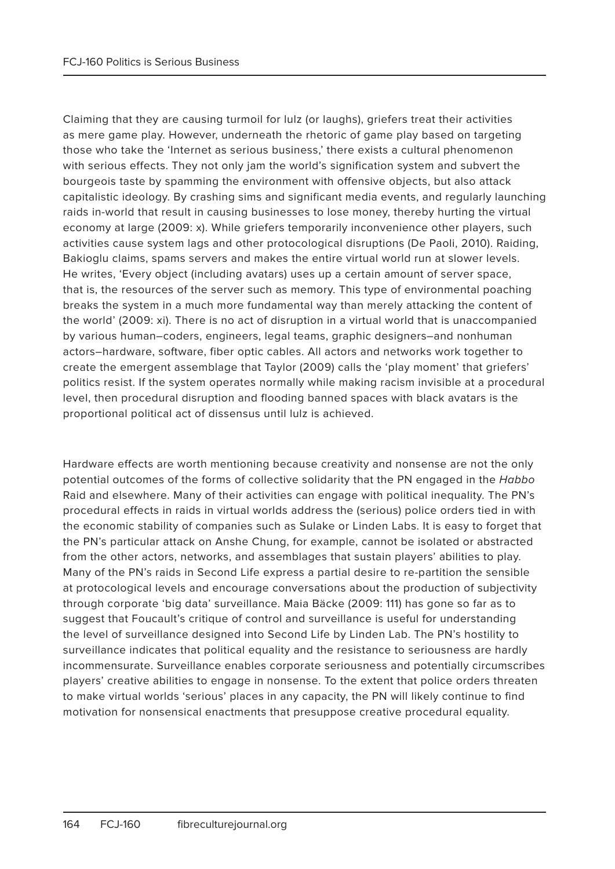Claiming that they are causing turmoil for lulz (or laughs), griefers treat their activities as mere game play. However, underneath the rhetoric of game play based on targeting those who take the 'Internet as serious business,' there exists a cultural phenomenon with serious effects. They not only jam the world's signification system and subvert the bourgeois taste by spamming the environment with offensive objects, but also attack capitalistic ideology. By crashing sims and significant media events, and regularly launching raids in-world that result in causing businesses to lose money, thereby hurting the virtual economy at large (2009: x). While griefers temporarily inconvenience other players, such activities cause system lags and other protocological disruptions (De Paoli, 2010). Raiding, Bakioglu claims, spams servers and makes the entire virtual world run at slower levels. He writes, 'Every object (including avatars) uses up a certain amount of server space, that is, the resources of the server such as memory. This type of environmental poaching breaks the system in a much more fundamental way than merely attacking the content of the world' (2009: xi). There is no act of disruption in a virtual world that is unaccompanied by various human–coders, engineers, legal teams, graphic designers–and nonhuman actors–hardware, software, fiber optic cables. All actors and networks work together to create the emergent assemblage that Taylor (2009) calls the 'play moment' that griefers' politics resist. If the system operates normally while making racism invisible at a procedural level, then procedural disruption and flooding banned spaces with black avatars is the proportional political act of dissensus until lulz is achieved.

Hardware effects are worth mentioning because creativity and nonsense are not the only potential outcomes of the forms of collective solidarity that the PN engaged in the Habbo Raid and elsewhere. Many of their activities can engage with political inequality. The PN's procedural effects in raids in virtual worlds address the (serious) police orders tied in with the economic stability of companies such as Sulake or Linden Labs. It is easy to forget that the PN's particular attack on Anshe Chung, for example, cannot be isolated or abstracted from the other actors, networks, and assemblages that sustain players' abilities to play. Many of the PN's raids in Second Life express a partial desire to re-partition the sensible at protocological levels and encourage conversations about the production of subjectivity through corporate 'big data' surveillance. Maia Bäcke (2009: 111) has gone so far as to suggest that Foucault's critique of control and surveillance is useful for understanding the level of surveillance designed into Second Life by Linden Lab. The PN's hostility to surveillance indicates that political equality and the resistance to seriousness are hardly incommensurate. Surveillance enables corporate seriousness and potentially circumscribes players' creative abilities to engage in nonsense. To the extent that police orders threaten to make virtual worlds 'serious' places in any capacity, the PN will likely continue to find motivation for nonsensical enactments that presuppose creative procedural equality.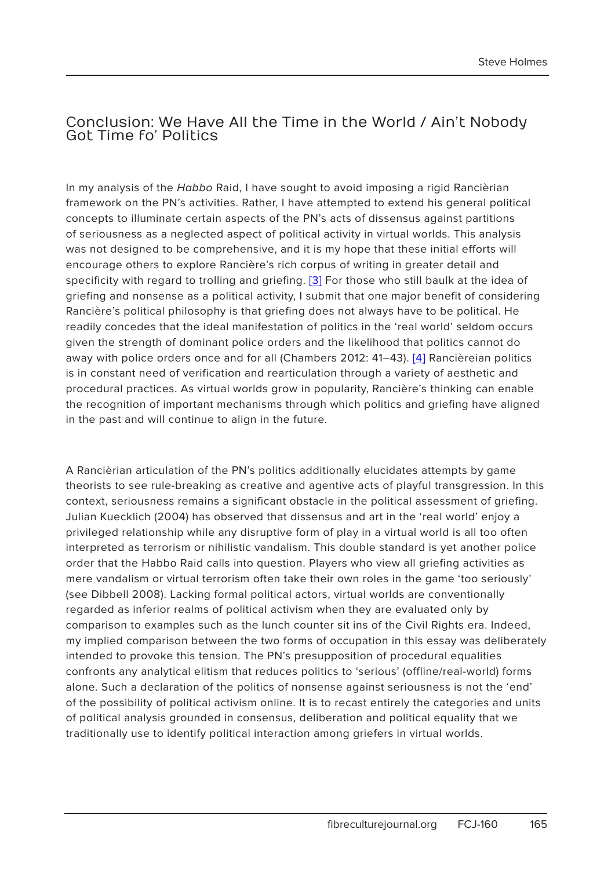#### Conclusion: We Have All the Time in the World / Ain't Nobody Got Time fo' Politics

In my analysis of the Habbo Raid, I have sought to avoid imposing a rigid Rancièrian framework on the PN's activities. Rather, I have attempted to extend his general political concepts to illuminate certain aspects of the PN's acts of dissensus against partitions of seriousness as a neglected aspect of political activity in virtual worlds. This analysis was not designed to be comprehensive, and it is my hope that these initial efforts will encourage others to explore Rancière's rich corpus of writing in greater detail and specificity with regard to trolling and griefing. [3] For those who still baulk at the idea of griefing and nonsense as a political activity, I submit that one major benefit of considering Rancière's political philosophy is that griefing does not always have to be political. He readily concedes that the ideal manifestation of politics in the 'real world' seldom occurs given the strength of dominant police orders and the likelihood that politics cannot do away with police orders once and for all (Chambers 2012: 41–43). [4] Rancièreian politics is in constant need of verification and rearticulation through a variety of aesthetic and procedural practices. As virtual worlds grow in popularity, Rancière's thinking can enable the recognition of important mechanisms through which politics and griefing have aligned in the past and will continue to align in the future.

A Rancièrian articulation of the PN's politics additionally elucidates attempts by game theorists to see rule-breaking as creative and agentive acts of playful transgression. In this context, seriousness remains a significant obstacle in the political assessment of griefing. Julian Kuecklich (2004) has observed that dissensus and art in the 'real world' enjoy a privileged relationship while any disruptive form of play in a virtual world is all too often interpreted as terrorism or nihilistic vandalism. This double standard is yet another police order that the Habbo Raid calls into question. Players who view all griefing activities as mere vandalism or virtual terrorism often take their own roles in the game 'too seriously' (see Dibbell 2008). Lacking formal political actors, virtual worlds are conventionally regarded as inferior realms of political activism when they are evaluated only by comparison to examples such as the lunch counter sit ins of the Civil Rights era. Indeed, my implied comparison between the two forms of occupation in this essay was deliberately intended to provoke this tension. The PN's presupposition of procedural equalities confronts any analytical elitism that reduces politics to 'serious' (offline/real-world) forms alone. Such a declaration of the politics of nonsense against seriousness is not the 'end' of the possibility of political activism online. It is to recast entirely the categories and units of political analysis grounded in consensus, deliberation and political equality that we traditionally use to identify political interaction among griefers in virtual worlds.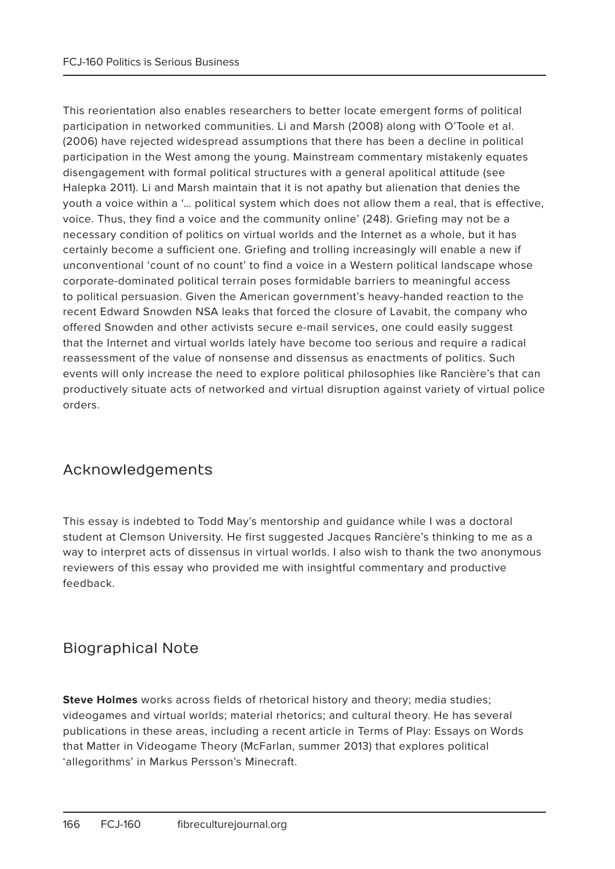This reorientation also enables researchers to better locate emergent forms of political participation in networked communities. Li and Marsh (2008) along with O'Toole et al. (2006) have rejected widespread assumptions that there has been a decline in political participation in the West among the young. Mainstream commentary mistakenly equates disengagement with formal political structures with a general apolitical attitude (see Halepka 2011). Li and Marsh maintain that it is not apathy but alienation that denies the youth a voice within a '… political system which does not allow them a real, that is effective, voice. Thus, they find a voice and the community online' (248). Griefing may not be a necessary condition of politics on virtual worlds and the Internet as a whole, but it has certainly become a sufficient one. Griefing and trolling increasingly will enable a new if unconventional 'count of no count' to find a voice in a Western political landscape whose corporate-dominated political terrain poses formidable barriers to meaningful access to political persuasion. Given the American government's heavy-handed reaction to the recent Edward Snowden NSA leaks that forced the closure of Lavabit, the company who offered Snowden and other activists secure e-mail services, one could easily suggest that the Internet and virtual worlds lately have become too serious and require a radical reassessment of the value of nonsense and dissensus as enactments of politics. Such events will only increase the need to explore political philosophies like Rancière's that can productively situate acts of networked and virtual disruption against variety of virtual police orders.

# Acknowledgements

This essay is indebted to Todd May's mentorship and guidance while I was a doctoral student at Clemson University. He first suggested Jacques Rancière's thinking to me as a way to interpret acts of dissensus in virtual worlds. I also wish to thank the two anonymous reviewers of this essay who provided me with insightful commentary and productive feedback.

# Biographical Note

**Steve Holmes** works across fields of rhetorical history and theory; media studies; videogames and virtual worlds; material rhetorics; and cultural theory. He has several publications in these areas, including a recent article in Terms of Play: Essays on Words that Matter in Videogame Theory (McFarlan, summer 2013) that explores political 'allegorithms' in Markus Persson's Minecraft.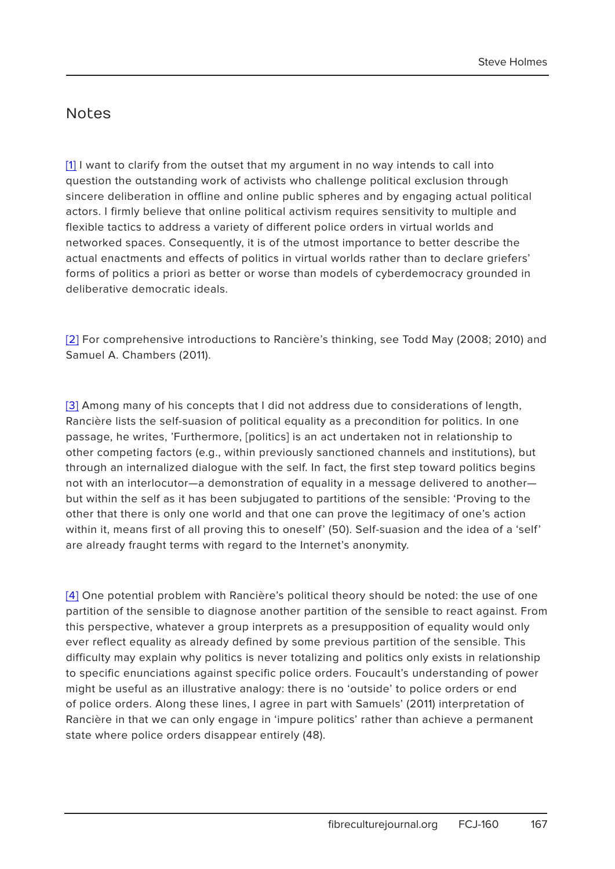#### **Notes**

[1] I want to clarify from the outset that my argument in no way intends to call into question the outstanding work of activists who challenge political exclusion through sincere deliberation in offline and online public spheres and by engaging actual political actors. I firmly believe that online political activism requires sensitivity to multiple and flexible tactics to address a variety of different police orders in virtual worlds and networked spaces. Consequently, it is of the utmost importance to better describe the actual enactments and effects of politics in virtual worlds rather than to declare griefers' forms of politics a priori as better or worse than models of cyberdemocracy grounded in deliberative democratic ideals.

[2] For comprehensive introductions to Rancière's thinking, see Todd May (2008; 2010) and Samuel A. Chambers (2011).

[3] Among many of his concepts that I did not address due to considerations of length, Rancière lists the self-suasion of political equality as a precondition for politics. In one passage, he writes, 'Furthermore, [politics] is an act undertaken not in relationship to other competing factors (e.g., within previously sanctioned channels and institutions), but through an internalized dialogue with the self. In fact, the first step toward politics begins not with an interlocutor—a demonstration of equality in a message delivered to another but within the self as it has been subjugated to partitions of the sensible: 'Proving to the other that there is only one world and that one can prove the legitimacy of one's action within it, means first of all proving this to oneself' (50). Self-suasion and the idea of a 'self' are already fraught terms with regard to the Internet's anonymity.

[4] One potential problem with Rancière's political theory should be noted: the use of one partition of the sensible to diagnose another partition of the sensible to react against. From this perspective, whatever a group interprets as a presupposition of equality would only ever reflect equality as already defined by some previous partition of the sensible. This difficulty may explain why politics is never totalizing and politics only exists in relationship to specific enunciations against specific police orders. Foucault's understanding of power might be useful as an illustrative analogy: there is no 'outside' to police orders or end of police orders. Along these lines, I agree in part with Samuels' (2011) interpretation of Rancière in that we can only engage in 'impure politics' rather than achieve a permanent state where police orders disappear entirely (48).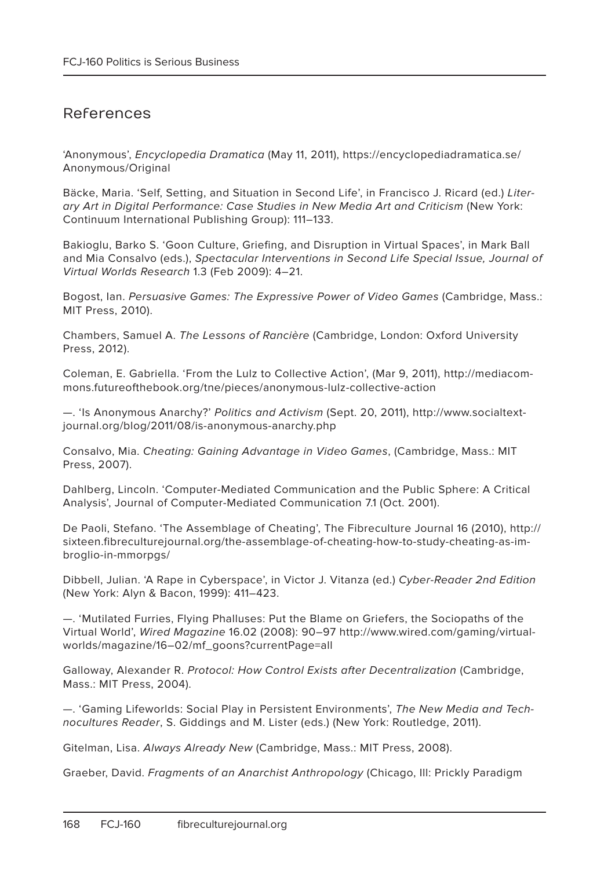### References

'Anonymous', Encyclopedia Dramatica (May 11, 2011), https://encyclopediadramatica.se/ Anonymous/Original

Bäcke, Maria. 'Self, Setting, and Situation in Second Life', in Francisco J. Ricard (ed.) Literary Art in Digital Performance: Case Studies in New Media Art and Criticism (New York: Continuum International Publishing Group): 111–133.

Bakioglu, Barko S. 'Goon Culture, Griefing, and Disruption in Virtual Spaces', in Mark Ball and Mia Consalvo (eds.), Spectacular Interventions in Second Life Special Issue, Journal of Virtual Worlds Research 1.3 (Feb 2009): 4–21.

Bogost, Ian. Persuasive Games: The Expressive Power of Video Games (Cambridge, Mass.: MIT Press, 2010).

Chambers, Samuel A. The Lessons of Rancière (Cambridge, London: Oxford University Press, 2012).

Coleman, E. Gabriella. 'From the Lulz to Collective Action', (Mar 9, 2011), http://mediacommons.futureofthebook.org/tne/pieces/anonymous-lulz-collective-action

—. 'Is Anonymous Anarchy?' Politics and Activism (Sept. 20, 2011), http://www.socialtextjournal.org/blog/2011/08/is-anonymous-anarchy.php

Consalvo, Mia. Cheating: Gaining Advantage in Video Games, (Cambridge, Mass.: MIT Press, 2007).

Dahlberg, Lincoln. 'Computer-Mediated Communication and the Public Sphere: A Critical Analysis', Journal of Computer-Mediated Communication 7.1 (Oct. 2001).

De Paoli, Stefano. 'The Assemblage of Cheating', The Fibreculture Journal 16 (2010), http:// sixteen.fibreculturejournal.org/the-assemblage-of-cheating-how-to-study-cheating-as-imbroglio-in-mmorpgs/

Dibbell, Julian. 'A Rape in Cyberspace', in Victor J. Vitanza (ed.) Cyber-Reader 2nd Edition (New York: Alyn & Bacon, 1999): 411–423.

—. 'Mutilated Furries, Flying Phalluses: Put the Blame on Griefers, the Sociopaths of the Virtual World', Wired Magazine 16.02 (2008): 90–97 http://www.wired.com/gaming/virtualworlds/magazine/16–02/mf\_goons?currentPage=all

Galloway, Alexander R. Protocol: How Control Exists after Decentralization (Cambridge, Mass.: MIT Press, 2004).

—. 'Gaming Lifeworlds: Social Play in Persistent Environments', The New Media and Technocultures Reader, S. Giddings and M. Lister (eds.) (New York: Routledge, 2011).

Gitelman, Lisa. Always Already New (Cambridge, Mass.: MIT Press, 2008).

Graeber, David. Fragments of an Anarchist Anthropology (Chicago, Ill: Prickly Paradigm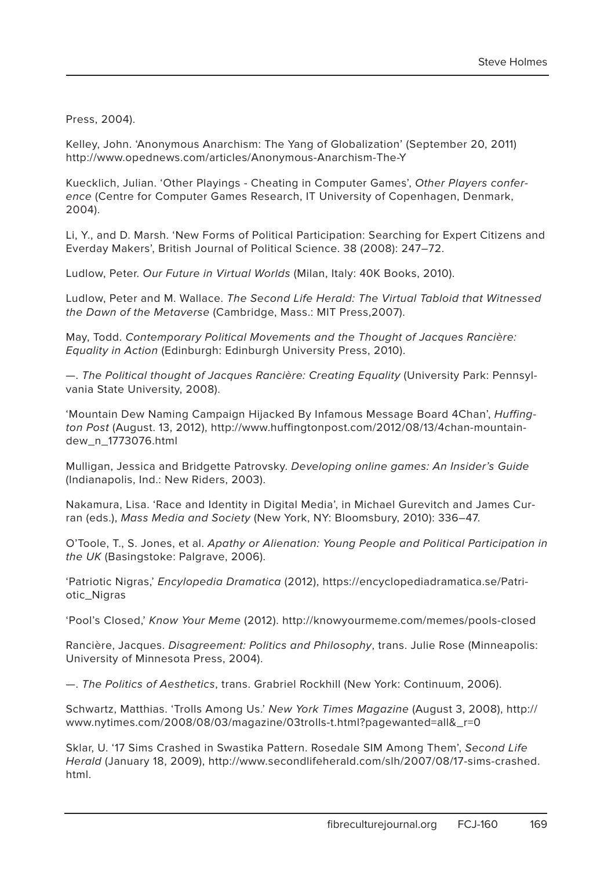Press, 2004).

Kelley, John. 'Anonymous Anarchism: The Yang of Globalization' (September 20, 2011) http://www.opednews.com/articles/Anonymous-Anarchism-The-Y

Kuecklich, Julian. 'Other Playings - Cheating in Computer Games', Other Players conference (Centre for Computer Games Research, IT University of Copenhagen, Denmark, 2004).

Li, Y., and D. Marsh. 'New Forms of Political Participation: Searching for Expert Citizens and Everday Makers', British Journal of Political Science. 38 (2008): 247–72.

Ludlow, Peter. Our Future in Virtual Worlds (Milan, Italy: 40K Books, 2010).

Ludlow, Peter and M. Wallace. The Second Life Herald: The Virtual Tabloid that Witnessed the Dawn of the Metaverse (Cambridge, Mass.: MIT Press,2007).

May, Todd. Contemporary Political Movements and the Thought of Jacques Rancière: Equality in Action (Edinburgh: Edinburgh University Press, 2010).

—. The Political thought of Jacques Rancière: Creating Equality (University Park: Pennsylvania State University, 2008).

'Mountain Dew Naming Campaign Hijacked By Infamous Message Board 4Chan', Huffington Post (August. 13, 2012), http://www.huffingtonpost.com/2012/08/13/4chan-mountaindew\_n\_1773076.html

Mulligan, Jessica and Bridgette Patrovsky. Developing online games: An Insider's Guide (Indianapolis, Ind.: New Riders, 2003).

Nakamura, Lisa. 'Race and Identity in Digital Media', in Michael Gurevitch and James Curran (eds.), Mass Media and Society (New York, NY: Bloomsbury, 2010): 336–47.

O'Toole, T., S. Jones, et al. Apathy or Alienation: Young People and Political Participation in the UK (Basingstoke: Palgrave, 2006).

'Patriotic Nigras,' Encylopedia Dramatica (2012), https://encyclopediadramatica.se/Patriotic\_Nigras

'Pool's Closed,' Know Your Meme (2012). http://knowyourmeme.com/memes/pools-closed

Rancière, Jacques. Disagreement: Politics and Philosophy, trans. Julie Rose (Minneapolis: University of Minnesota Press, 2004).

—. The Politics of Aesthetics, trans. Grabriel Rockhill (New York: Continuum, 2006).

Schwartz, Matthias. 'Trolls Among Us.' New York Times Magazine (August 3, 2008), http:// www.nytimes.com/2008/08/03/magazine/03trolls-t.html?pagewanted=all&\_r=0

Sklar, U. '17 Sims Crashed in Swastika Pattern. Rosedale SIM Among Them', Second Life Herald (January 18, 2009), http://www.secondlifeherald.com/slh/2007/08/17-sims-crashed. html.